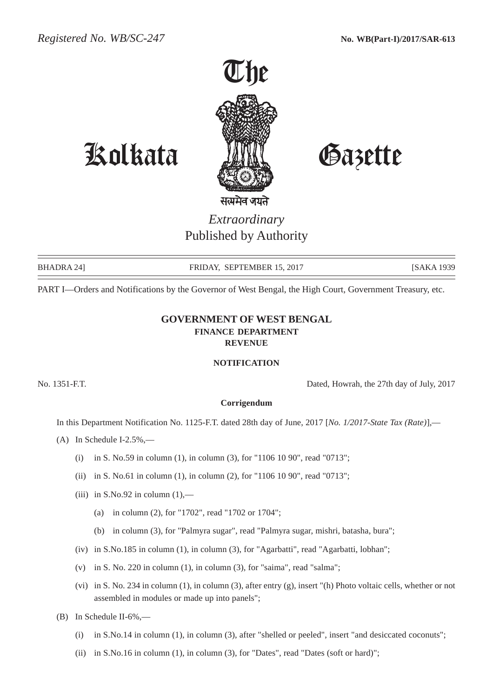

## Kolkata Gazette

*Extraordinary* Published by Authority

BHADRA 24] FRIDAY, SEPTEMBER 15, 2017 [SAKA 1939]

PART I—Orders and Notifications by the Governor of West Bengal, the High Court, Government Treasury, etc.

## **GOVERNMENT OF WEST BENGAL FINANCE DEPARTMENT REVENUE**

## **NOTIFICATION**

No. 1351-F.T. Dated, Howrah, the 27th day of July, 2017

## **Corrigendum**

In this Department Notification No. 1125-F.T. dated 28th day of June, 2017 [*No. 1/2017-State Tax (Rate)*],—

- $(A)$  In Schedule I-2.5%,—
	- (i) in S. No.59 in column (1), in column (3), for "1106 10 90", read "0713";
	- (ii) in S. No.61 in column (1), in column (2), for "1106 10 90", read "0713";
	- (iii) in S.No.92 in column  $(1)$ ,—
		- (a) in column (2), for "1702", read "1702 or 1704";
		- (b) in column (3), for "Palmyra sugar", read "Palmyra sugar, mishri, batasha, bura";
	- (iv) in S.No.185 in column (1), in column (3), for "Agarbatti", read "Agarbatti, lobhan";
	- (v) in S. No. 220 in column (1), in column (3), for "saima", read "salma";
	- (vi) in S. No. 234 in column (1), in column (3), after entry (g), insert "(h) Photo voltaic cells, whether or not assembled in modules or made up into panels";
- (B) In Schedule II-6%,—
	- (i) in S.No.14 in column (1), in column (3), after "shelled or peeled", insert "and desiccated coconuts";
	- (ii) in S.No.16 in column (1), in column (3), for "Dates", read "Dates (soft or hard)";